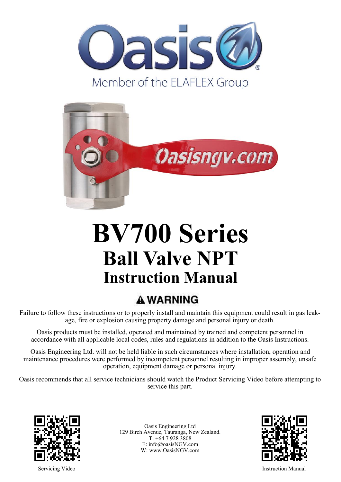



# **BV700 Series Ball Valve NPT Instruction Manual**

### **A WARNING**

Failure to follow these instructions or to properly install and maintain this equipment could result in gas leakage, fire or explosion causing property damage and personal injury or death.

Oasis products must be installed, operated and maintained by trained and competent personnel in accordance with all applicable local codes, rules and regulations in addition to the Oasis Instructions.

Oasis Engineering Ltd. will not be held liable in such circumstances where installation, operation and maintenance procedures were performed by incompetent personnel resulting in improper assembly, unsafe operation, equipment damage or personal injury.

Oasis recommends that all service technicians should watch the Product Servicing Video before attempting to service this part.



Oasis Engineering Ltd 129 Birch Avenue, Tauranga, New Zealand. T: +64 7 928 3808 E: info@oasisNGV.com W: www.OasisNGV.com



Servicing Video **Instruction Manual**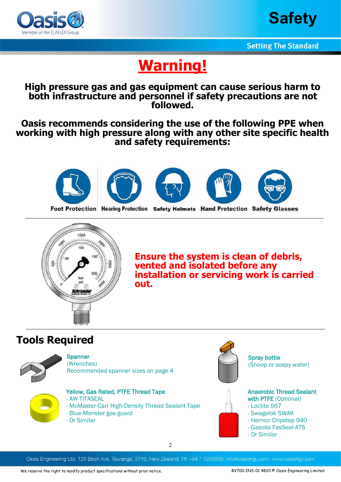



### **Warning!**

#### **High pressure gas and gas equipment can cause serious harm to both infrastructure and personnel if safety precautions are not followed.**

#### **Oasis recommends considering the use of the following PPE when working with high pressure along with any other site specific health and safety requirements:**















Foot Protection Hearing Protection Safety Helmets Hand Protection Safety Glasses



**Ensure the system is clean of debris, vented and isolated before any installation or servicing work is carried out.**

### **Tools Required**



**Spanner** (Wrenches) Recommended spanner sizes on page 4



Yellow, Gas Rated, PTFE Thread Tape - AW TITASEAL

- McMaster-Carr High-Density Thread Sealant Tape
- Blue-Monster gas-guard
- Or Similar



Spray bottle (Snoop or soapy water)



Anaerobic Thread Sealant with PTFE (Optional)

- Loctite 567
- Swagelok SWAK
- Hernon Dripstop 940
- Gasoila FasSeal-ATS
- Or Similar

Oasis Engineering Ltd. 129 Birch Ave, Tauranga, 3110, New Zealand, Ph +64 7 9283808, info@oasisngv.com, www.oasisngv.com

2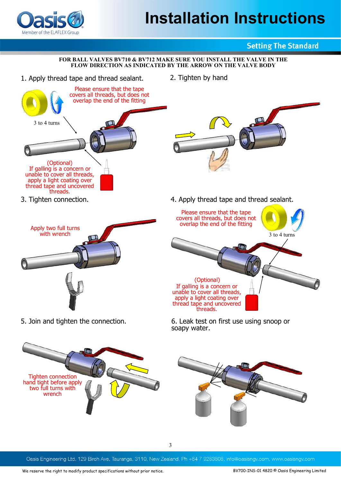### **Installation Instructions**



#### **Setting The Standard**

#### **FOR BALL VALVES BV710 & BV712 MAKE SURE YOU INSTALL THE VALVE IN THE FLOW DIRECTION AS INDICATED BY THE ARROW ON THE VALVE BODY**

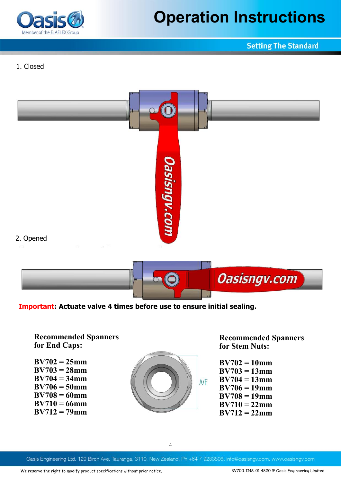

### **Operation Instructions**

#### **Setting The Standard**

#### 1. Closed



**Important: Actuate valve 4 times before use to ensure initial sealing.** 

**Recommended Spanners for End Caps:** 

**BV702 = 25mm BV703 = 28mm BV704 = 34mm BV706 = 50mm BV708 = 60mm BV710 = 66mm BV712 = 79mm**



**Recommended Spanners for Stem Nuts:**

**BV702 = 10mm BV703 = 13mm BV704 = 13mm BV706 = 19mm BV708 = 19mm BV710 = 22mm BV712 = 22mm**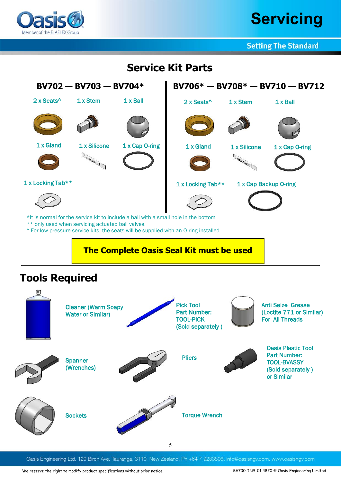

### **Servicing**

**Setting The Standard** 

### **Service Kit Parts**



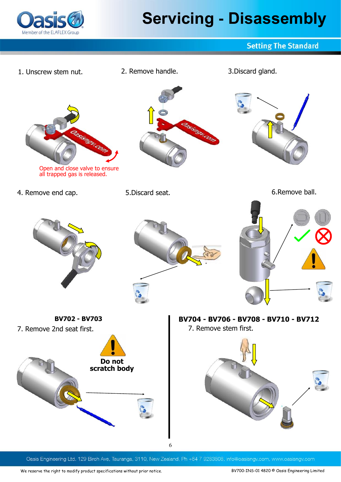

# **Servicing - Disassembly**

#### **Setting The Standard**

1. Unscrew stem nut. 2. Remove handle. 3.Discard gland. is del. Open and close valve to ensure all trapped gas is released. 4. Remove end cap. 5.Discard seat. 6.Remove ball. **BV702 - BV703 BV704 - BV706 - BV708 - BV710 - BV712**7. Remove 2nd seat first. The mass of the Taurus and Taurus 7. Remove stem first. **Do not scratch body** 6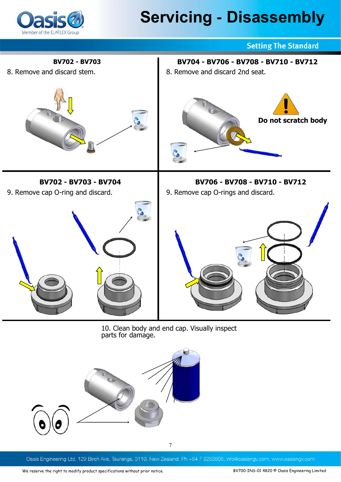

### **Servicing - Disassembly**



10. Clean body and end cap. Visually inspect parts for damage.

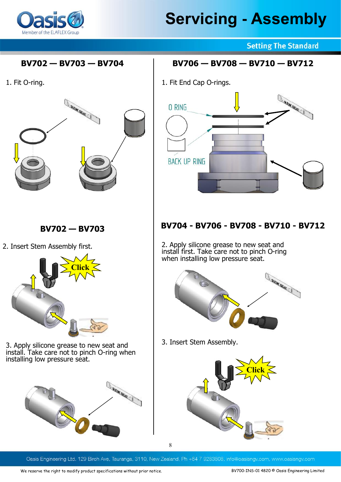

#### **BV702 — BV703 — BV704**

1. Fit O-ring.



2. Insert Stem Assembly first.



3. Apply silicone grease to new seat and install. Take care not to pinch O-ring when installing low pressure seat.



**Setting The Standard** 

#### **BV706 — BV708 — BV710 — BV712**

1. Fit End Cap O-rings.



### **BV702 — BV703 BV704 - BV706 - BV708 - BV710 - BV712**

2. Apply silicone grease to new seat and install first. Take care not to pinch O-ring when installing low pressure seat.



3. Insert Stem Assembly.



Oasis Engineering Ltd. 129 Birch Ave, Tauranga, 3110, New Zealand, Ph +64 7 9283808, info@oasisngv.com, www.oasisngv.com

8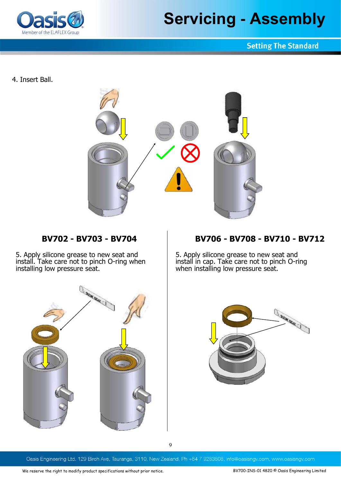

#### **Setting The Standard**

4. Insert Ball.



5. Apply silicone grease to new seat and install. Take care not to pinch O-ring when installing low pressure seat.

#### **BV702 - BV703 - BV704 BV706 - BV708 - BV710 - BV712**

5. Apply silicone grease to new seat and install in cap. Take care not to pinch O-ring when installing low pressure seat.





9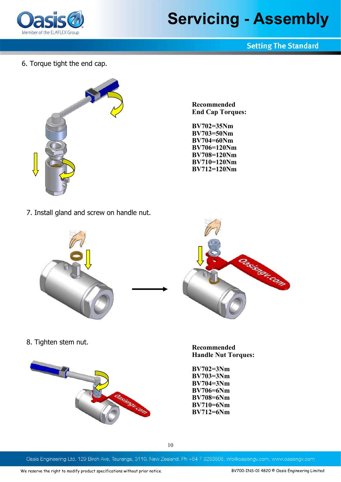

#### **Setting The Standard**

6. Torque tight the end cap.



**Recommended End Cap Torques:**

**BV702=35Nm BV703=50Nm BV704=60Nm BV706=120Nm BV708=120Nm BV710=120Nm BV712=120Nm**

7. Install gland and screw on handle nut.





8. Tighten stem nut.



**Recommended Handle Nut Torques:**

**BV702=3Nm BV703=3Nm BV704=3Nm BV706=6Nm BV708=6Nm BV710=6Nm BV712=6Nm**